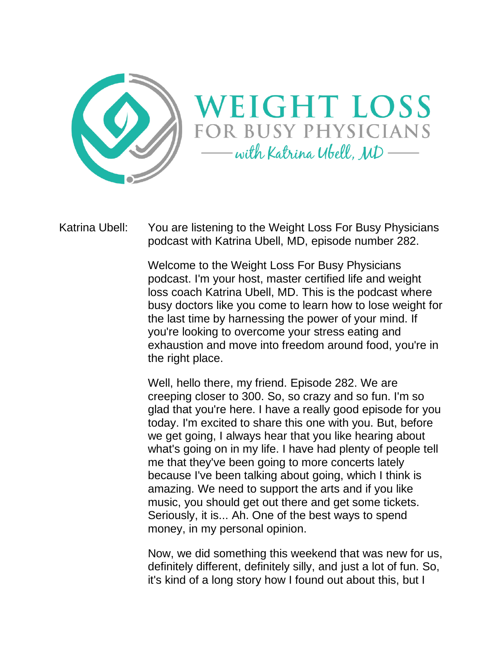



Katrina Ubell: You are listening to the Weight Loss For Busy Physicians podcast with Katrina Ubell, MD, episode number 282.

> Welcome to the Weight Loss For Busy Physicians podcast. I'm your host, master certified life and weight loss coach Katrina Ubell, MD. This is the podcast where busy doctors like you come to learn how to lose weight for the last time by harnessing the power of your mind. If you're looking to overcome your stress eating and exhaustion and move into freedom around food, you're in the right place.

> Well, hello there, my friend. Episode 282. We are creeping closer to 300. So, so crazy and so fun. I'm so glad that you're here. I have a really good episode for you today. I'm excited to share this one with you. But, before we get going, I always hear that you like hearing about what's going on in my life. I have had plenty of people tell me that they've been going to more concerts lately because I've been talking about going, which I think is amazing. We need to support the arts and if you like music, you should get out there and get some tickets. Seriously, it is... Ah. One of the best ways to spend money, in my personal opinion.

> Now, we did something this weekend that was new for us, definitely different, definitely silly, and just a lot of fun. So, it's kind of a long story how I found out about this, but I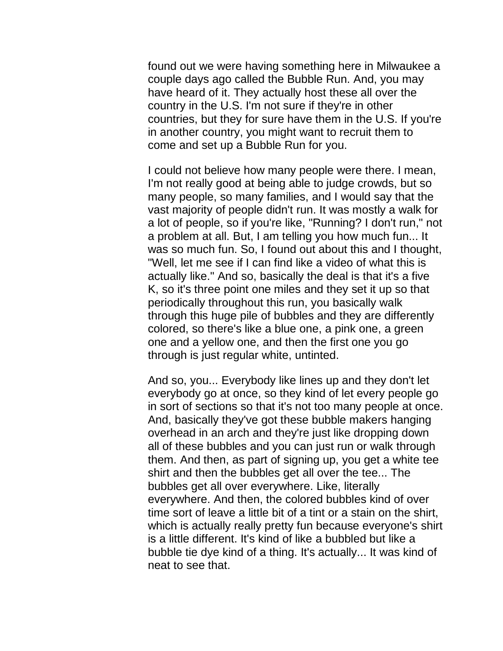found out we were having something here in Milwaukee a couple days ago called the Bubble Run. And, you may have heard of it. They actually host these all over the country in the U.S. I'm not sure if they're in other countries, but they for sure have them in the U.S. If you're in another country, you might want to recruit them to come and set up a Bubble Run for you.

I could not believe how many people were there. I mean, I'm not really good at being able to judge crowds, but so many people, so many families, and I would say that the vast majority of people didn't run. It was mostly a walk for a lot of people, so if you're like, "Running? I don't run," not a problem at all. But, I am telling you how much fun... It was so much fun. So, I found out about this and I thought, "Well, let me see if I can find like a video of what this is actually like." And so, basically the deal is that it's a five K, so it's three point one miles and they set it up so that periodically throughout this run, you basically walk through this huge pile of bubbles and they are differently colored, so there's like a blue one, a pink one, a green one and a yellow one, and then the first one you go through is just regular white, untinted.

And so, you... Everybody like lines up and they don't let everybody go at once, so they kind of let every people go in sort of sections so that it's not too many people at once. And, basically they've got these bubble makers hanging overhead in an arch and they're just like dropping down all of these bubbles and you can just run or walk through them. And then, as part of signing up, you get a white tee shirt and then the bubbles get all over the tee... The bubbles get all over everywhere. Like, literally everywhere. And then, the colored bubbles kind of over time sort of leave a little bit of a tint or a stain on the shirt, which is actually really pretty fun because everyone's shirt is a little different. It's kind of like a bubbled but like a bubble tie dye kind of a thing. It's actually... It was kind of neat to see that.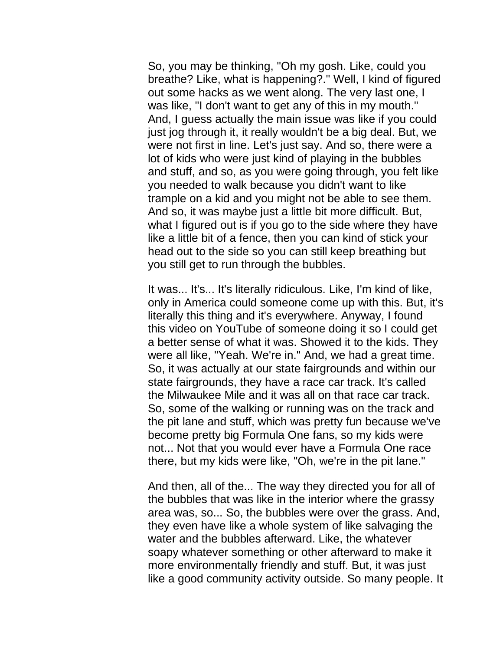So, you may be thinking, "Oh my gosh. Like, could you breathe? Like, what is happening?." Well, I kind of figured out some hacks as we went along. The very last one, I was like, "I don't want to get any of this in my mouth." And, I guess actually the main issue was like if you could just jog through it, it really wouldn't be a big deal. But, we were not first in line. Let's just say. And so, there were a lot of kids who were just kind of playing in the bubbles and stuff, and so, as you were going through, you felt like you needed to walk because you didn't want to like trample on a kid and you might not be able to see them. And so, it was maybe just a little bit more difficult. But, what I figured out is if you go to the side where they have like a little bit of a fence, then you can kind of stick your head out to the side so you can still keep breathing but you still get to run through the bubbles.

It was... It's... It's literally ridiculous. Like, I'm kind of like, only in America could someone come up with this. But, it's literally this thing and it's everywhere. Anyway, I found this video on YouTube of someone doing it so I could get a better sense of what it was. Showed it to the kids. They were all like, "Yeah. We're in." And, we had a great time. So, it was actually at our state fairgrounds and within our state fairgrounds, they have a race car track. It's called the Milwaukee Mile and it was all on that race car track. So, some of the walking or running was on the track and the pit lane and stuff, which was pretty fun because we've become pretty big Formula One fans, so my kids were not... Not that you would ever have a Formula One race there, but my kids were like, "Oh, we're in the pit lane."

And then, all of the... The way they directed you for all of the bubbles that was like in the interior where the grassy area was, so... So, the bubbles were over the grass. And, they even have like a whole system of like salvaging the water and the bubbles afterward. Like, the whatever soapy whatever something or other afterward to make it more environmentally friendly and stuff. But, it was just like a good community activity outside. So many people. It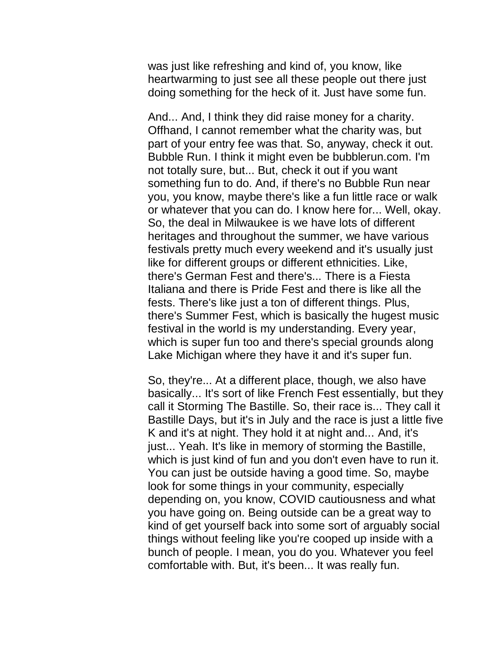was just like refreshing and kind of, you know, like heartwarming to just see all these people out there just doing something for the heck of it. Just have some fun.

And... And, I think they did raise money for a charity. Offhand, I cannot remember what the charity was, but part of your entry fee was that. So, anyway, check it out. Bubble Run. I think it might even be bubblerun.com. I'm not totally sure, but... But, check it out if you want something fun to do. And, if there's no Bubble Run near you, you know, maybe there's like a fun little race or walk or whatever that you can do. I know here for... Well, okay. So, the deal in Milwaukee is we have lots of different heritages and throughout the summer, we have various festivals pretty much every weekend and it's usually just like for different groups or different ethnicities. Like, there's German Fest and there's... There is a Fiesta Italiana and there is Pride Fest and there is like all the fests. There's like just a ton of different things. Plus, there's Summer Fest, which is basically the hugest music festival in the world is my understanding. Every year, which is super fun too and there's special grounds along Lake Michigan where they have it and it's super fun.

So, they're... At a different place, though, we also have basically... It's sort of like French Fest essentially, but they call it Storming The Bastille. So, their race is... They call it Bastille Days, but it's in July and the race is just a little five K and it's at night. They hold it at night and... And, it's just... Yeah. It's like in memory of storming the Bastille, which is just kind of fun and you don't even have to run it. You can just be outside having a good time. So, maybe look for some things in your community, especially depending on, you know, COVID cautiousness and what you have going on. Being outside can be a great way to kind of get yourself back into some sort of arguably social things without feeling like you're cooped up inside with a bunch of people. I mean, you do you. Whatever you feel comfortable with. But, it's been... It was really fun.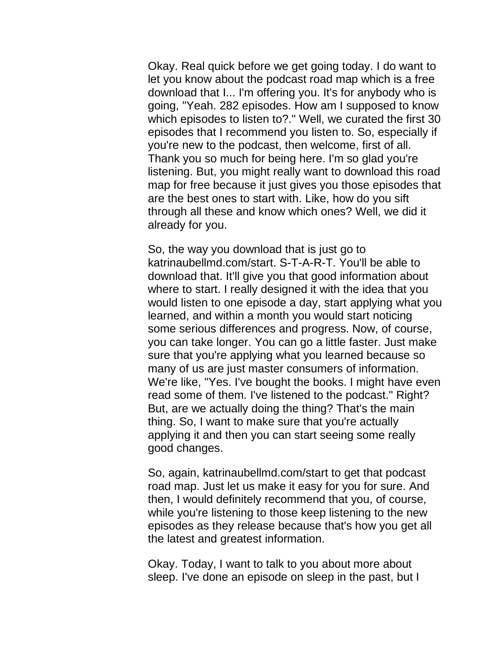Okay. Real quick before we get going today. I do want to let you know about the podcast road map which is a free download that I... I'm offering you. It's for anybody who is going, "Yeah. 282 episodes. How am I supposed to know which episodes to listen to?." Well, we curated the first 30 episodes that I recommend you listen to. So, especially if you're new to the podcast, then welcome, first of all. Thank you so much for being here. I'm so glad you're listening. But, you might really want to download this road map for free because it just gives you those episodes that are the best ones to start with. Like, how do you sift through all these and know which ones? Well, we did it already for you.

So, the way you download that is just go to katrinaubellmd.com/start. S-T-A-R-T. You'll be able to download that. It'll give you that good information about where to start. I really designed it with the idea that you would listen to one episode a day, start applying what you learned, and within a month you would start noticing some serious differences and progress. Now, of course, you can take longer. You can go a little faster. Just make sure that you're applying what you learned because so many of us are just master consumers of information. We're like, "Yes. I've bought the books. I might have even read some of them. I've listened to the podcast." Right? But, are we actually doing the thing? That's the main thing. So, I want to make sure that you're actually applying it and then you can start seeing some really good changes.

So, again, katrinaubellmd.com/start to get that podcast road map. Just let us make it easy for you for sure. And then, I would definitely recommend that you, of course, while you're listening to those keep listening to the new episodes as they release because that's how you get all the latest and greatest information.

Okay. Today, I want to talk to you about more about sleep. I've done an episode on sleep in the past, but I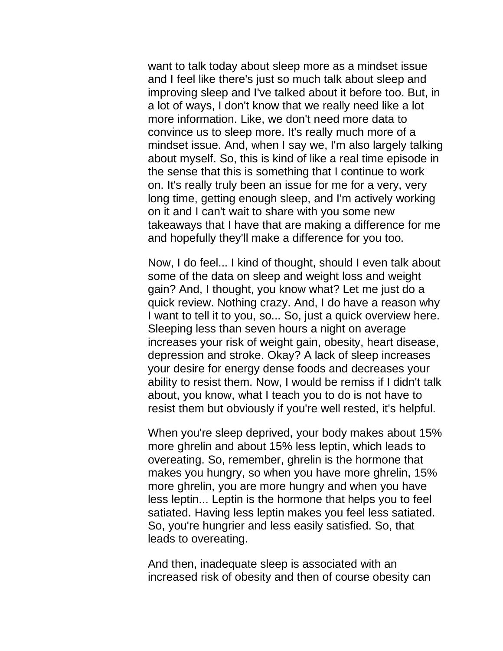want to talk today about sleep more as a mindset issue and I feel like there's just so much talk about sleep and improving sleep and I've talked about it before too. But, in a lot of ways, I don't know that we really need like a lot more information. Like, we don't need more data to convince us to sleep more. It's really much more of a mindset issue. And, when I say we, I'm also largely talking about myself. So, this is kind of like a real time episode in the sense that this is something that I continue to work on. It's really truly been an issue for me for a very, very long time, getting enough sleep, and I'm actively working on it and I can't wait to share with you some new takeaways that I have that are making a difference for me and hopefully they'll make a difference for you too.

Now, I do feel... I kind of thought, should I even talk about some of the data on sleep and weight loss and weight gain? And, I thought, you know what? Let me just do a quick review. Nothing crazy. And, I do have a reason why I want to tell it to you, so... So, just a quick overview here. Sleeping less than seven hours a night on average increases your risk of weight gain, obesity, heart disease, depression and stroke. Okay? A lack of sleep increases your desire for energy dense foods and decreases your ability to resist them. Now, I would be remiss if I didn't talk about, you know, what I teach you to do is not have to resist them but obviously if you're well rested, it's helpful.

When you're sleep deprived, your body makes about 15% more ghrelin and about 15% less leptin, which leads to overeating. So, remember, ghrelin is the hormone that makes you hungry, so when you have more ghrelin, 15% more ghrelin, you are more hungry and when you have less leptin... Leptin is the hormone that helps you to feel satiated. Having less leptin makes you feel less satiated. So, you're hungrier and less easily satisfied. So, that leads to overeating.

And then, inadequate sleep is associated with an increased risk of obesity and then of course obesity can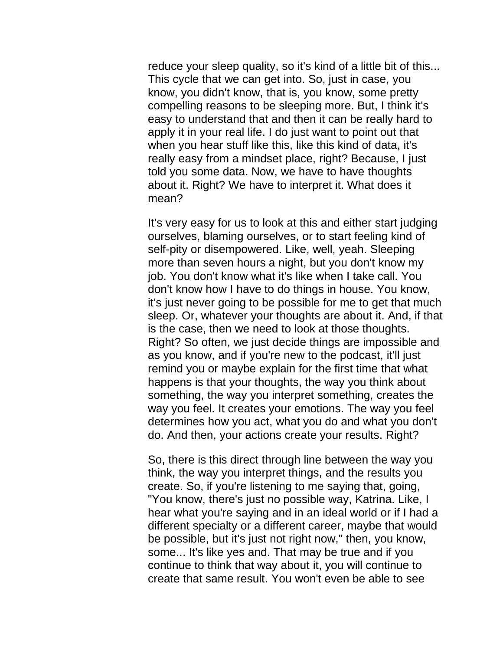reduce your sleep quality, so it's kind of a little bit of this... This cycle that we can get into. So, just in case, you know, you didn't know, that is, you know, some pretty compelling reasons to be sleeping more. But, I think it's easy to understand that and then it can be really hard to apply it in your real life. I do just want to point out that when you hear stuff like this, like this kind of data, it's really easy from a mindset place, right? Because, I just told you some data. Now, we have to have thoughts about it. Right? We have to interpret it. What does it mean?

It's very easy for us to look at this and either start judging ourselves, blaming ourselves, or to start feeling kind of self-pity or disempowered. Like, well, yeah. Sleeping more than seven hours a night, but you don't know my job. You don't know what it's like when I take call. You don't know how I have to do things in house. You know, it's just never going to be possible for me to get that much sleep. Or, whatever your thoughts are about it. And, if that is the case, then we need to look at those thoughts. Right? So often, we just decide things are impossible and as you know, and if you're new to the podcast, it'll just remind you or maybe explain for the first time that what happens is that your thoughts, the way you think about something, the way you interpret something, creates the way you feel. It creates your emotions. The way you feel determines how you act, what you do and what you don't do. And then, your actions create your results. Right?

So, there is this direct through line between the way you think, the way you interpret things, and the results you create. So, if you're listening to me saying that, going, "You know, there's just no possible way, Katrina. Like, I hear what you're saying and in an ideal world or if I had a different specialty or a different career, maybe that would be possible, but it's just not right now," then, you know, some... It's like yes and. That may be true and if you continue to think that way about it, you will continue to create that same result. You won't even be able to see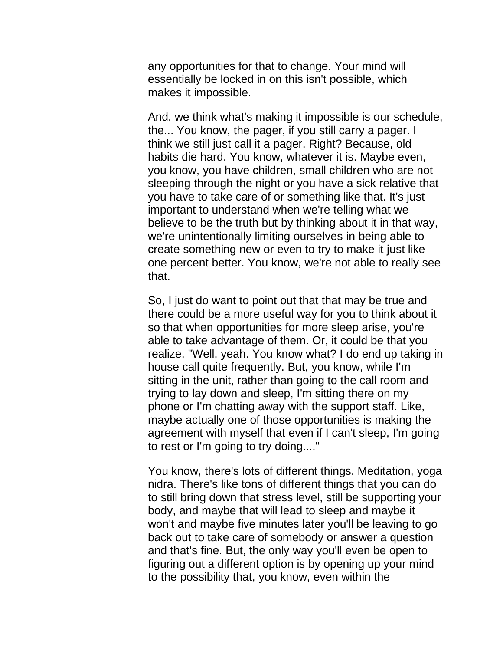any opportunities for that to change. Your mind will essentially be locked in on this isn't possible, which makes it impossible.

And, we think what's making it impossible is our schedule, the... You know, the pager, if you still carry a pager. I think we still just call it a pager. Right? Because, old habits die hard. You know, whatever it is. Maybe even, you know, you have children, small children who are not sleeping through the night or you have a sick relative that you have to take care of or something like that. It's just important to understand when we're telling what we believe to be the truth but by thinking about it in that way, we're unintentionally limiting ourselves in being able to create something new or even to try to make it just like one percent better. You know, we're not able to really see that.

So, I just do want to point out that that may be true and there could be a more useful way for you to think about it so that when opportunities for more sleep arise, you're able to take advantage of them. Or, it could be that you realize, "Well, yeah. You know what? I do end up taking in house call quite frequently. But, you know, while I'm sitting in the unit, rather than going to the call room and trying to lay down and sleep, I'm sitting there on my phone or I'm chatting away with the support staff. Like, maybe actually one of those opportunities is making the agreement with myself that even if I can't sleep, I'm going to rest or I'm going to try doing...."

You know, there's lots of different things. Meditation, yoga nidra. There's like tons of different things that you can do to still bring down that stress level, still be supporting your body, and maybe that will lead to sleep and maybe it won't and maybe five minutes later you'll be leaving to go back out to take care of somebody or answer a question and that's fine. But, the only way you'll even be open to figuring out a different option is by opening up your mind to the possibility that, you know, even within the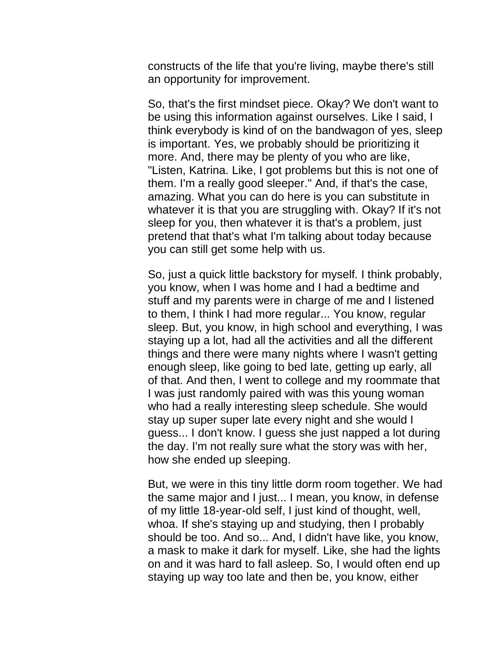constructs of the life that you're living, maybe there's still an opportunity for improvement.

So, that's the first mindset piece. Okay? We don't want to be using this information against ourselves. Like I said, I think everybody is kind of on the bandwagon of yes, sleep is important. Yes, we probably should be prioritizing it more. And, there may be plenty of you who are like, "Listen, Katrina. Like, I got problems but this is not one of them. I'm a really good sleeper." And, if that's the case, amazing. What you can do here is you can substitute in whatever it is that you are struggling with. Okay? If it's not sleep for you, then whatever it is that's a problem, just pretend that that's what I'm talking about today because you can still get some help with us.

So, just a quick little backstory for myself. I think probably, you know, when I was home and I had a bedtime and stuff and my parents were in charge of me and I listened to them, I think I had more regular... You know, regular sleep. But, you know, in high school and everything, I was staying up a lot, had all the activities and all the different things and there were many nights where I wasn't getting enough sleep, like going to bed late, getting up early, all of that. And then, I went to college and my roommate that I was just randomly paired with was this young woman who had a really interesting sleep schedule. She would stay up super super late every night and she would I guess... I don't know. I guess she just napped a lot during the day. I'm not really sure what the story was with her, how she ended up sleeping.

But, we were in this tiny little dorm room together. We had the same major and I just... I mean, you know, in defense of my little 18-year-old self, I just kind of thought, well, whoa. If she's staying up and studying, then I probably should be too. And so... And, I didn't have like, you know, a mask to make it dark for myself. Like, she had the lights on and it was hard to fall asleep. So, I would often end up staying up way too late and then be, you know, either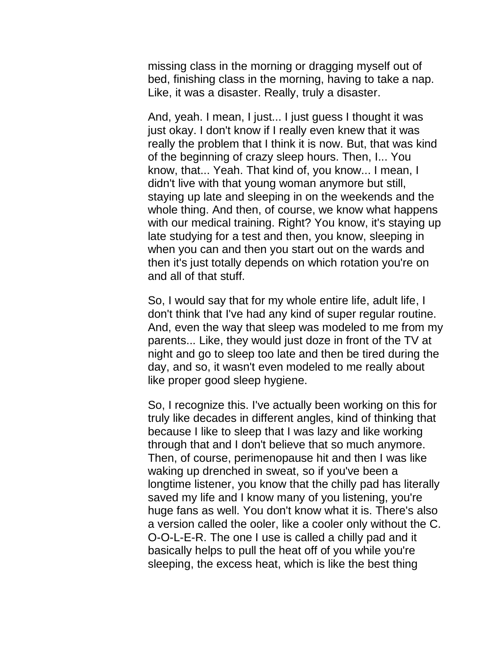missing class in the morning or dragging myself out of bed, finishing class in the morning, having to take a nap. Like, it was a disaster. Really, truly a disaster.

And, yeah. I mean, I just... I just guess I thought it was just okay. I don't know if I really even knew that it was really the problem that I think it is now. But, that was kind of the beginning of crazy sleep hours. Then, I... You know, that... Yeah. That kind of, you know... I mean, I didn't live with that young woman anymore but still, staying up late and sleeping in on the weekends and the whole thing. And then, of course, we know what happens with our medical training. Right? You know, it's staying up late studying for a test and then, you know, sleeping in when you can and then you start out on the wards and then it's just totally depends on which rotation you're on and all of that stuff.

So, I would say that for my whole entire life, adult life, I don't think that I've had any kind of super regular routine. And, even the way that sleep was modeled to me from my parents... Like, they would just doze in front of the TV at night and go to sleep too late and then be tired during the day, and so, it wasn't even modeled to me really about like proper good sleep hygiene.

So, I recognize this. I've actually been working on this for truly like decades in different angles, kind of thinking that because I like to sleep that I was lazy and like working through that and I don't believe that so much anymore. Then, of course, perimenopause hit and then I was like waking up drenched in sweat, so if you've been a longtime listener, you know that the chilly pad has literally saved my life and I know many of you listening, you're huge fans as well. You don't know what it is. There's also a version called the ooler, like a cooler only without the C. O-O-L-E-R. The one I use is called a chilly pad and it basically helps to pull the heat off of you while you're sleeping, the excess heat, which is like the best thing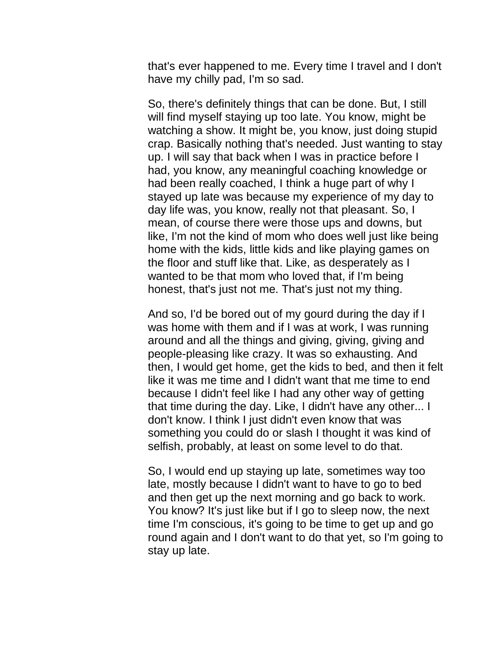that's ever happened to me. Every time I travel and I don't have my chilly pad, I'm so sad.

So, there's definitely things that can be done. But, I still will find myself staying up too late. You know, might be watching a show. It might be, you know, just doing stupid crap. Basically nothing that's needed. Just wanting to stay up. I will say that back when I was in practice before I had, you know, any meaningful coaching knowledge or had been really coached, I think a huge part of why I stayed up late was because my experience of my day to day life was, you know, really not that pleasant. So, I mean, of course there were those ups and downs, but like, I'm not the kind of mom who does well just like being home with the kids, little kids and like playing games on the floor and stuff like that. Like, as desperately as I wanted to be that mom who loved that, if I'm being honest, that's just not me. That's just not my thing.

And so, I'd be bored out of my gourd during the day if I was home with them and if I was at work, I was running around and all the things and giving, giving, giving and people-pleasing like crazy. It was so exhausting. And then, I would get home, get the kids to bed, and then it felt like it was me time and I didn't want that me time to end because I didn't feel like I had any other way of getting that time during the day. Like, I didn't have any other... I don't know. I think I just didn't even know that was something you could do or slash I thought it was kind of selfish, probably, at least on some level to do that.

So, I would end up staying up late, sometimes way too late, mostly because I didn't want to have to go to bed and then get up the next morning and go back to work. You know? It's just like but if I go to sleep now, the next time I'm conscious, it's going to be time to get up and go round again and I don't want to do that yet, so I'm going to stay up late.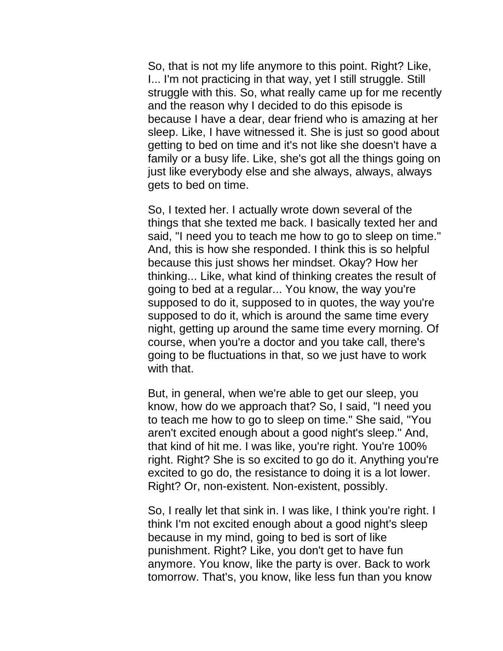So, that is not my life anymore to this point. Right? Like, I... I'm not practicing in that way, yet I still struggle. Still struggle with this. So, what really came up for me recently and the reason why I decided to do this episode is because I have a dear, dear friend who is amazing at her sleep. Like, I have witnessed it. She is just so good about getting to bed on time and it's not like she doesn't have a family or a busy life. Like, she's got all the things going on just like everybody else and she always, always, always gets to bed on time.

So, I texted her. I actually wrote down several of the things that she texted me back. I basically texted her and said, "I need you to teach me how to go to sleep on time." And, this is how she responded. I think this is so helpful because this just shows her mindset. Okay? How her thinking... Like, what kind of thinking creates the result of going to bed at a regular... You know, the way you're supposed to do it, supposed to in quotes, the way you're supposed to do it, which is around the same time every night, getting up around the same time every morning. Of course, when you're a doctor and you take call, there's going to be fluctuations in that, so we just have to work with that.

But, in general, when we're able to get our sleep, you know, how do we approach that? So, I said, "I need you to teach me how to go to sleep on time." She said, "You aren't excited enough about a good night's sleep." And, that kind of hit me. I was like, you're right. You're 100% right. Right? She is so excited to go do it. Anything you're excited to go do, the resistance to doing it is a lot lower. Right? Or, non-existent. Non-existent, possibly.

So, I really let that sink in. I was like, I think you're right. I think I'm not excited enough about a good night's sleep because in my mind, going to bed is sort of like punishment. Right? Like, you don't get to have fun anymore. You know, like the party is over. Back to work tomorrow. That's, you know, like less fun than you know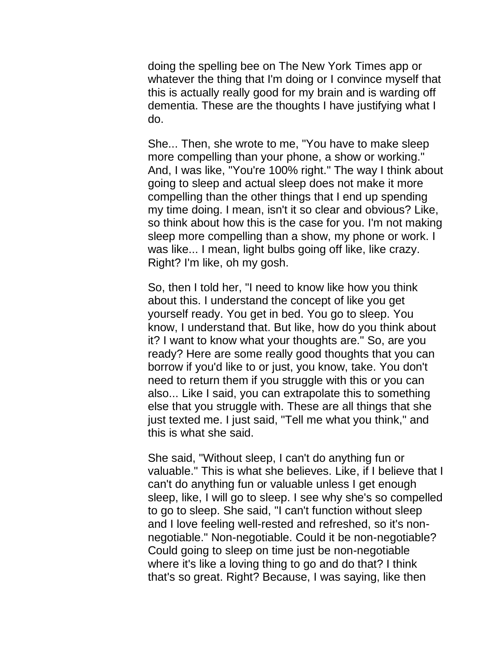doing the spelling bee on The New York Times app or whatever the thing that I'm doing or I convince myself that this is actually really good for my brain and is warding off dementia. These are the thoughts I have justifying what I do.

She... Then, she wrote to me, "You have to make sleep more compelling than your phone, a show or working." And, I was like, "You're 100% right." The way I think about going to sleep and actual sleep does not make it more compelling than the other things that I end up spending my time doing. I mean, isn't it so clear and obvious? Like, so think about how this is the case for you. I'm not making sleep more compelling than a show, my phone or work. I was like... I mean, light bulbs going off like, like crazy. Right? I'm like, oh my gosh.

So, then I told her, "I need to know like how you think about this. I understand the concept of like you get yourself ready. You get in bed. You go to sleep. You know, I understand that. But like, how do you think about it? I want to know what your thoughts are." So, are you ready? Here are some really good thoughts that you can borrow if you'd like to or just, you know, take. You don't need to return them if you struggle with this or you can also... Like I said, you can extrapolate this to something else that you struggle with. These are all things that she just texted me. I just said, "Tell me what you think," and this is what she said.

She said, "Without sleep, I can't do anything fun or valuable." This is what she believes. Like, if I believe that I can't do anything fun or valuable unless I get enough sleep, like, I will go to sleep. I see why she's so compelled to go to sleep. She said, "I can't function without sleep and I love feeling well-rested and refreshed, so it's nonnegotiable." Non-negotiable. Could it be non-negotiable? Could going to sleep on time just be non-negotiable where it's like a loving thing to go and do that? I think that's so great. Right? Because, I was saying, like then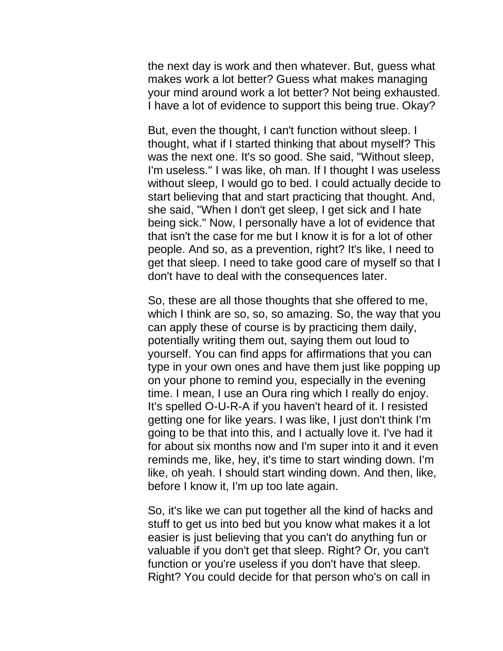the next day is work and then whatever. But, guess what makes work a lot better? Guess what makes managing your mind around work a lot better? Not being exhausted. I have a lot of evidence to support this being true. Okay?

But, even the thought, I can't function without sleep. I thought, what if I started thinking that about myself? This was the next one. It's so good. She said, "Without sleep, I'm useless." I was like, oh man. If I thought I was useless without sleep, I would go to bed. I could actually decide to start believing that and start practicing that thought. And, she said, "When I don't get sleep, I get sick and I hate being sick." Now, I personally have a lot of evidence that that isn't the case for me but I know it is for a lot of other people. And so, as a prevention, right? It's like, I need to get that sleep. I need to take good care of myself so that I don't have to deal with the consequences later.

So, these are all those thoughts that she offered to me, which I think are so, so, so amazing. So, the way that you can apply these of course is by practicing them daily, potentially writing them out, saying them out loud to yourself. You can find apps for affirmations that you can type in your own ones and have them just like popping up on your phone to remind you, especially in the evening time. I mean, I use an Oura ring which I really do enjoy. It's spelled O-U-R-A if you haven't heard of it. I resisted getting one for like years. I was like, I just don't think I'm going to be that into this, and I actually love it. I've had it for about six months now and I'm super into it and it even reminds me, like, hey, it's time to start winding down. I'm like, oh yeah. I should start winding down. And then, like, before I know it, I'm up too late again.

So, it's like we can put together all the kind of hacks and stuff to get us into bed but you know what makes it a lot easier is just believing that you can't do anything fun or valuable if you don't get that sleep. Right? Or, you can't function or you're useless if you don't have that sleep. Right? You could decide for that person who's on call in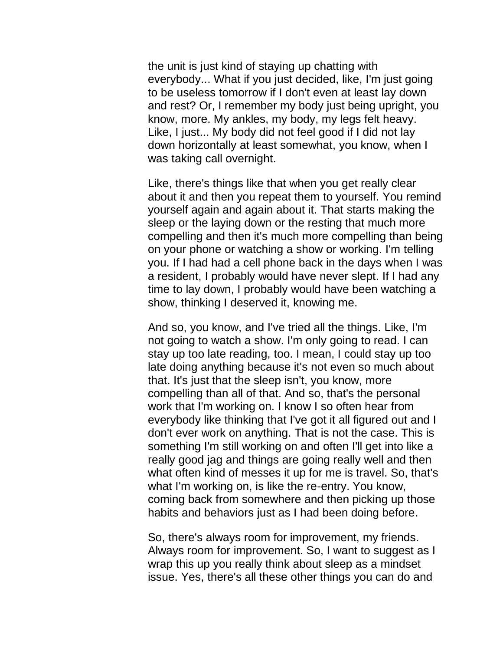the unit is just kind of staying up chatting with everybody... What if you just decided, like, I'm just going to be useless tomorrow if I don't even at least lay down and rest? Or, I remember my body just being upright, you know, more. My ankles, my body, my legs felt heavy. Like, I just... My body did not feel good if I did not lay down horizontally at least somewhat, you know, when I was taking call overnight.

Like, there's things like that when you get really clear about it and then you repeat them to yourself. You remind yourself again and again about it. That starts making the sleep or the laying down or the resting that much more compelling and then it's much more compelling than being on your phone or watching a show or working. I'm telling you. If I had had a cell phone back in the days when I was a resident, I probably would have never slept. If I had any time to lay down, I probably would have been watching a show, thinking I deserved it, knowing me.

And so, you know, and I've tried all the things. Like, I'm not going to watch a show. I'm only going to read. I can stay up too late reading, too. I mean, I could stay up too late doing anything because it's not even so much about that. It's just that the sleep isn't, you know, more compelling than all of that. And so, that's the personal work that I'm working on. I know I so often hear from everybody like thinking that I've got it all figured out and I don't ever work on anything. That is not the case. This is something I'm still working on and often I'll get into like a really good jag and things are going really well and then what often kind of messes it up for me is travel. So, that's what I'm working on, is like the re-entry. You know, coming back from somewhere and then picking up those habits and behaviors just as I had been doing before.

So, there's always room for improvement, my friends. Always room for improvement. So, I want to suggest as I wrap this up you really think about sleep as a mindset issue. Yes, there's all these other things you can do and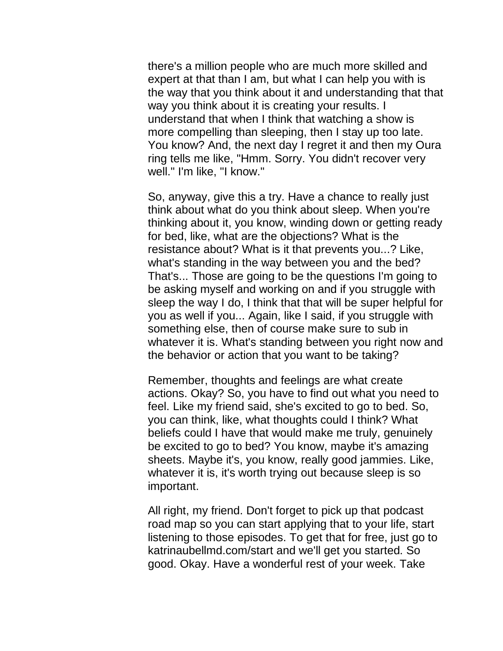there's a million people who are much more skilled and expert at that than I am, but what I can help you with is the way that you think about it and understanding that that way you think about it is creating your results. I understand that when I think that watching a show is more compelling than sleeping, then I stay up too late. You know? And, the next day I regret it and then my Oura ring tells me like, "Hmm. Sorry. You didn't recover very well." I'm like, "I know."

So, anyway, give this a try. Have a chance to really just think about what do you think about sleep. When you're thinking about it, you know, winding down or getting ready for bed, like, what are the objections? What is the resistance about? What is it that prevents you...? Like, what's standing in the way between you and the bed? That's... Those are going to be the questions I'm going to be asking myself and working on and if you struggle with sleep the way I do, I think that that will be super helpful for you as well if you... Again, like I said, if you struggle with something else, then of course make sure to sub in whatever it is. What's standing between you right now and the behavior or action that you want to be taking?

Remember, thoughts and feelings are what create actions. Okay? So, you have to find out what you need to feel. Like my friend said, she's excited to go to bed. So, you can think, like, what thoughts could I think? What beliefs could I have that would make me truly, genuinely be excited to go to bed? You know, maybe it's amazing sheets. Maybe it's, you know, really good jammies. Like, whatever it is, it's worth trying out because sleep is so important.

All right, my friend. Don't forget to pick up that podcast road map so you can start applying that to your life, start listening to those episodes. To get that for free, just go to katrinaubellmd.com/start and we'll get you started. So good. Okay. Have a wonderful rest of your week. Take